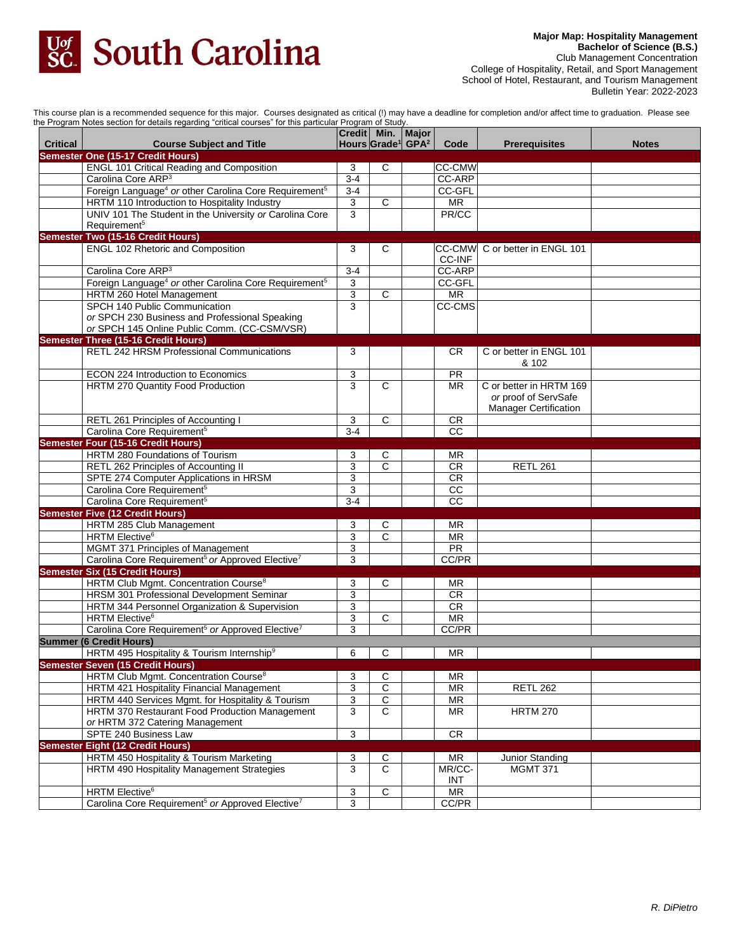

**Major Map: Hospitality Management Bachelor of Science (B.S.)** Club Management Concentration College of Hospitality, Retail, and Sport Management School of Hotel, Restaurant, and Tourism Management Bulletin Year: 2022-2023

This course plan is a recommended sequence for this major. Courses designated as critical (!) may have a deadline for completion and/or affect time to graduation. Please see

| the Program Notes section for details regarding "critical courses" for this particular Program of Study. |                                                                               |                |                                                                    |  |                          |                                |              |
|----------------------------------------------------------------------------------------------------------|-------------------------------------------------------------------------------|----------------|--------------------------------------------------------------------|--|--------------------------|--------------------------------|--------------|
| <b>Critical</b>                                                                                          | <b>Course Subject and Title</b>                                               |                | Credit   Min.   Major<br>Hours Grade <sup>1</sup> GPA <sup>2</sup> |  | Code                     | <b>Prerequisites</b>           | <b>Notes</b> |
|                                                                                                          | Semester One (15-17 Credit Hours)                                             |                |                                                                    |  |                          |                                |              |
|                                                                                                          | <b>ENGL 101 Critical Reading and Composition</b>                              | 3              | C                                                                  |  | <b>CC-CMW</b>            |                                |              |
|                                                                                                          | Carolina Core ARP <sup>3</sup>                                                | $3 - 4$        |                                                                    |  | <b>CC-ARP</b>            |                                |              |
|                                                                                                          | Foreign Language <sup>4</sup> or other Carolina Core Requirement <sup>5</sup> | $3 - 4$        |                                                                    |  | CC-GFL                   |                                |              |
|                                                                                                          | HRTM 110 Introduction to Hospitality Industry                                 | 3              | C                                                                  |  | $\overline{\text{MR}}$   |                                |              |
|                                                                                                          | UNIV 101 The Student in the University or Carolina Core                       | 3              |                                                                    |  | PR/CC                    |                                |              |
|                                                                                                          | Requirement <sup>5</sup>                                                      |                |                                                                    |  |                          |                                |              |
|                                                                                                          | <b>Semester Two (15-16 Credit Hours)</b>                                      |                |                                                                    |  |                          |                                |              |
|                                                                                                          | <b>ENGL 102 Rhetoric and Composition</b>                                      | 3              | C                                                                  |  |                          | CC-CMW C or better in ENGL 101 |              |
|                                                                                                          |                                                                               |                |                                                                    |  | CC-INF                   |                                |              |
|                                                                                                          | Carolina Core ARP <sup>3</sup>                                                | $3 - 4$        |                                                                    |  | <b>CC-ARP</b>            |                                |              |
|                                                                                                          |                                                                               |                |                                                                    |  |                          |                                |              |
|                                                                                                          | Foreign Language <sup>4</sup> or other Carolina Core Requirement <sup>5</sup> | 3              |                                                                    |  | CC-GFL                   |                                |              |
|                                                                                                          | HRTM 260 Hotel Management                                                     | 3              | С                                                                  |  | MR                       |                                |              |
|                                                                                                          | SPCH 140 Public Communication                                                 | 3              |                                                                    |  | <b>CC-CMS</b>            |                                |              |
|                                                                                                          | or SPCH 230 Business and Professional Speaking                                |                |                                                                    |  |                          |                                |              |
|                                                                                                          | or SPCH 145 Online Public Comm. (CC-CSM/VSR)                                  |                |                                                                    |  |                          |                                |              |
|                                                                                                          | <b>Semester Three (15-16 Credit Hours)</b>                                    |                |                                                                    |  |                          |                                |              |
|                                                                                                          | RETL 242 HRSM Professional Communications                                     | 3              |                                                                    |  | CR.                      | C or better in ENGL 101        |              |
|                                                                                                          |                                                                               |                |                                                                    |  |                          | & 102                          |              |
|                                                                                                          | ECON 224 Introduction to Economics                                            | 3              |                                                                    |  | <b>PR</b>                |                                |              |
|                                                                                                          | HRTM 270 Quantity Food Production                                             | 3              | $\mathsf{C}$                                                       |  | <b>MR</b>                | C or better in HRTM 169        |              |
|                                                                                                          |                                                                               |                |                                                                    |  |                          | or proof of ServSafe           |              |
|                                                                                                          |                                                                               |                |                                                                    |  |                          | <b>Manager Certification</b>   |              |
|                                                                                                          | RETL 261 Principles of Accounting I                                           | 3              | C                                                                  |  | <b>CR</b>                |                                |              |
|                                                                                                          | Carolina Core Requirement <sup>5</sup>                                        | $3 - 4$        |                                                                    |  | CC                       |                                |              |
|                                                                                                          | <b>Semester Four (15-16 Credit Hours)</b>                                     |                |                                                                    |  |                          |                                |              |
|                                                                                                          | HRTM 280 Foundations of Tourism                                               |                |                                                                    |  |                          |                                |              |
|                                                                                                          |                                                                               | 3              | C                                                                  |  | ΜR                       |                                |              |
|                                                                                                          | RETL 262 Principles of Accounting II                                          | 3              | C                                                                  |  | <b>CR</b>                | <b>RETL 261</b>                |              |
|                                                                                                          | SPTE 274 Computer Applications in HRSM                                        | 3              |                                                                    |  | <b>CR</b>                |                                |              |
|                                                                                                          | Carolina Core Requirement <sup>5</sup>                                        | 3              |                                                                    |  | $\overline{cc}$          |                                |              |
|                                                                                                          | Carolina Core Requirement <sup>5</sup>                                        | $3-4$          |                                                                    |  | $\overline{cc}$          |                                |              |
|                                                                                                          | <b>Semester Five (12 Credit Hours)</b>                                        |                |                                                                    |  |                          |                                |              |
|                                                                                                          | HRTM 285 Club Management                                                      | 3              | С                                                                  |  | ΜR                       |                                |              |
|                                                                                                          | HRTM Elective <sup>6</sup>                                                    | 3              | C                                                                  |  | $\overline{\mathsf{MR}}$ |                                |              |
|                                                                                                          | MGMT 371 Principles of Management                                             | 3              |                                                                    |  | PR                       |                                |              |
|                                                                                                          | Carolina Core Requirement <sup>5</sup> or Approved Elective <sup>7</sup>      | 3              |                                                                    |  | CC/PR                    |                                |              |
|                                                                                                          | <b>Semester Six (15 Credit Hours)</b>                                         |                |                                                                    |  |                          |                                |              |
|                                                                                                          | HRTM Club Mgmt. Concentration Course <sup>8</sup>                             | 3              | С                                                                  |  | <b>MR</b>                |                                |              |
|                                                                                                          | HRSM 301 Professional Development Seminar                                     | 3              |                                                                    |  | CR                       |                                |              |
|                                                                                                          | HRTM 344 Personnel Organization & Supervision                                 | 3              |                                                                    |  | CR                       |                                |              |
|                                                                                                          | HRTM Elective <sup>6</sup>                                                    | 3              | С                                                                  |  | <b>MR</b>                |                                |              |
|                                                                                                          | Carolina Core Requirement <sup>5</sup> or Approved Elective <sup>7</sup>      | 3              |                                                                    |  | CC/PR                    |                                |              |
|                                                                                                          |                                                                               |                |                                                                    |  |                          |                                |              |
|                                                                                                          | <b>Summer (6 Credit Hours)</b>                                                |                |                                                                    |  |                          |                                |              |
|                                                                                                          | HRTM 495 Hospitality & Tourism Internship <sup>9</sup>                        | 6              | C                                                                  |  | MR.                      |                                |              |
|                                                                                                          | <b>Semester Seven (15 Credit Hours)</b>                                       |                |                                                                    |  |                          |                                |              |
|                                                                                                          | HRTM Club Mgmt. Concentration Course <sup>8</sup>                             | 3              | С                                                                  |  | <b>MR</b>                |                                |              |
|                                                                                                          | HRTM 421 Hospitality Financial Management                                     | 3              | C                                                                  |  | <b>MR</b>                | <b>RETL 262</b>                |              |
|                                                                                                          | HRTM 440 Services Mgmt. for Hospitality & Tourism                             | 3              | С                                                                  |  | MR                       |                                |              |
|                                                                                                          | HRTM 370 Restaurant Food Production Management                                | 3              | C                                                                  |  | <b>MR</b>                | <b>HRTM 270</b>                |              |
|                                                                                                          | or HRTM 372 Catering Management                                               |                |                                                                    |  |                          |                                |              |
|                                                                                                          | SPTE 240 Business Law                                                         | 3              |                                                                    |  | CR                       |                                |              |
|                                                                                                          | <b>Semester Eight (12 Credit Hours)</b>                                       |                |                                                                    |  |                          |                                |              |
|                                                                                                          | HRTM 450 Hospitality & Tourism Marketing                                      | 3              | С                                                                  |  | MR                       | Junior Standing                |              |
|                                                                                                          | HRTM 490 Hospitality Management Strategies                                    | 3              | $\mathsf{C}$                                                       |  | MR/CC-                   | <b>MGMT 371</b>                |              |
|                                                                                                          |                                                                               |                |                                                                    |  | INT                      |                                |              |
|                                                                                                          | <b>HRTM Elective</b> <sup>6</sup>                                             |                |                                                                    |  | $\overline{\mathsf{MR}}$ |                                |              |
|                                                                                                          |                                                                               | 3              | $\overline{C}$                                                     |  |                          |                                |              |
|                                                                                                          | Carolina Core Requirement <sup>5</sup> or Approved Elective <sup>7</sup>      | $\overline{3}$ |                                                                    |  | CC/PR                    |                                |              |